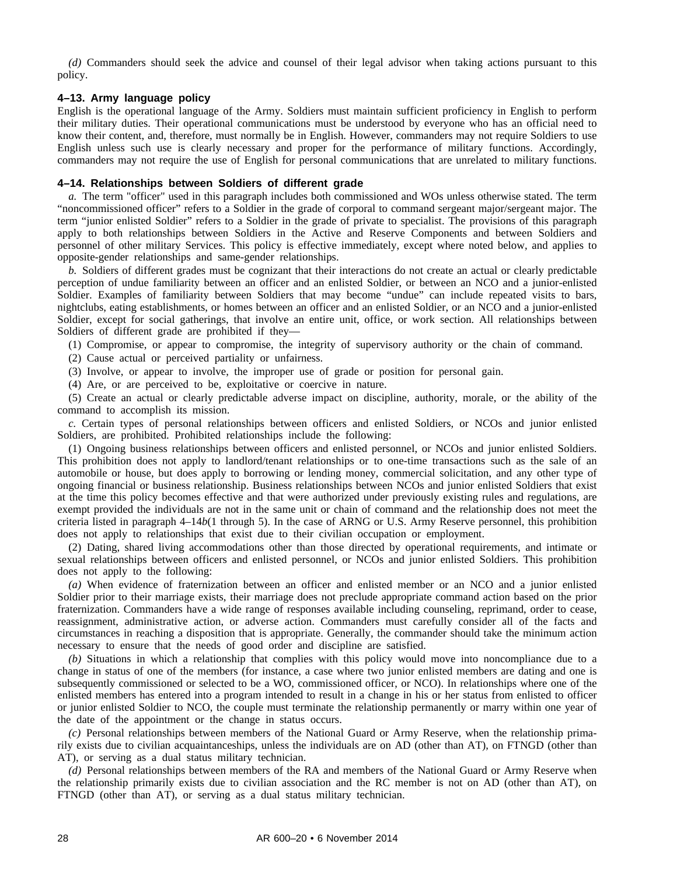*(d)* Commanders should seek the advice and counsel of their legal advisor when taking actions pursuant to this policy.

## **4–13. Army language policy**

English is the operational language of the Army. Soldiers must maintain sufficient proficiency in English to perform their military duties. Their operational communications must be understood by everyone who has an official need to know their content, and, therefore, must normally be in English. However, commanders may not require Soldiers to use English unless such use is clearly necessary and proper for the performance of military functions. Accordingly, commanders may not require the use of English for personal communications that are unrelated to military functions.

# **4–14. Relationships between Soldiers of different grade**

*a.* The term "officer" used in this paragraph includes both commissioned and WOs unless otherwise stated. The term "noncommissioned officer" refers to a Soldier in the grade of corporal to command sergeant major/sergeant major. The term "junior enlisted Soldier" refers to a Soldier in the grade of private to specialist. The provisions of this paragraph apply to both relationships between Soldiers in the Active and Reserve Components and between Soldiers and personnel of other military Services. This policy is effective immediately, except where noted below, and applies to opposite-gender relationships and same-gender relationships.

*b.* Soldiers of different grades must be cognizant that their interactions do not create an actual or clearly predictable perception of undue familiarity between an officer and an enlisted Soldier, or between an NCO and a junior-enlisted Soldier. Examples of familiarity between Soldiers that may become "undue" can include repeated visits to bars, nightclubs, eating establishments, or homes between an officer and an enlisted Soldier, or an NCO and a junior-enlisted Soldier, except for social gatherings, that involve an entire unit, office, or work section. All relationships between Soldiers of different grade are prohibited if they—

(1) Compromise, or appear to compromise, the integrity of supervisory authority or the chain of command.

(2) Cause actual or perceived partiality or unfairness.

(3) Involve, or appear to involve, the improper use of grade or position for personal gain.

(4) Are, or are perceived to be, exploitative or coercive in nature.

(5) Create an actual or clearly predictable adverse impact on discipline, authority, morale, or the ability of the command to accomplish its mission.

*c.* Certain types of personal relationships between officers and enlisted Soldiers, or NCOs and junior enlisted Soldiers, are prohibited. Prohibited relationships include the following:

(1) Ongoing business relationships between officers and enlisted personnel, or NCOs and junior enlisted Soldiers. This prohibition does not apply to landlord/tenant relationships or to one-time transactions such as the sale of an automobile or house, but does apply to borrowing or lending money, commercial solicitation, and any other type of ongoing financial or business relationship. Business relationships between NCOs and junior enlisted Soldiers that exist at the time this policy becomes effective and that were authorized under previously existing rules and regulations, are exempt provided the individuals are not in the same unit or chain of command and the relationship does not meet the criteria listed in paragraph 4–14*b*(1 through 5). In the case of ARNG or U.S. Army Reserve personnel, this prohibition does not apply to relationships that exist due to their civilian occupation or employment.

(2) Dating, shared living accommodations other than those directed by operational requirements, and intimate or sexual relationships between officers and enlisted personnel, or NCOs and junior enlisted Soldiers. This prohibition does not apply to the following:

*(a)* When evidence of fraternization between an officer and enlisted member or an NCO and a junior enlisted Soldier prior to their marriage exists, their marriage does not preclude appropriate command action based on the prior fraternization. Commanders have a wide range of responses available including counseling, reprimand, order to cease, reassignment, administrative action, or adverse action. Commanders must carefully consider all of the facts and circumstances in reaching a disposition that is appropriate. Generally, the commander should take the minimum action necessary to ensure that the needs of good order and discipline are satisfied.

*(b)* Situations in which a relationship that complies with this policy would move into noncompliance due to a change in status of one of the members (for instance, a case where two junior enlisted members are dating and one is subsequently commissioned or selected to be a WO, commissioned officer, or NCO). In relationships where one of the enlisted members has entered into a program intended to result in a change in his or her status from enlisted to officer or junior enlisted Soldier to NCO, the couple must terminate the relationship permanently or marry within one year of the date of the appointment or the change in status occurs.

*(c)* Personal relationships between members of the National Guard or Army Reserve, when the relationship primarily exists due to civilian acquaintanceships, unless the individuals are on AD (other than AT), on FTNGD (other than AT), or serving as a dual status military technician.

*(d)* Personal relationships between members of the RA and members of the National Guard or Army Reserve when the relationship primarily exists due to civilian association and the RC member is not on AD (other than AT), on FTNGD (other than AT), or serving as a dual status military technician.